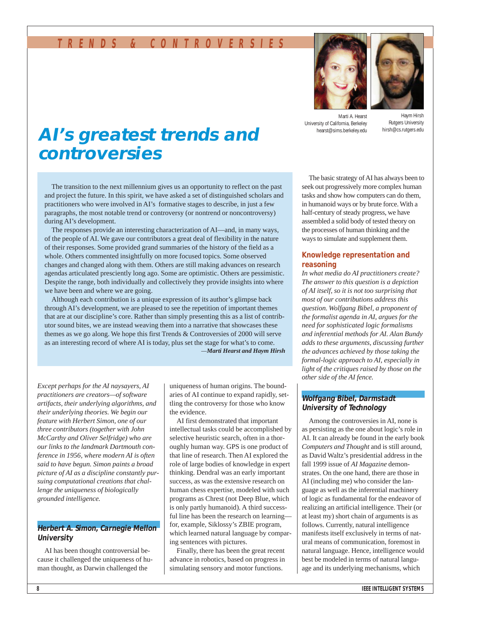### **TRENDS & CONTROVERSIES**



Marti A. Hearst University of California, Berkeley hearst@sims.berkeley.edu

Haym Hirsh Rutgers University hirsh@cs.rutgers.edu

### **AI's greatest trends and controversies**

The transition to the next millennium gives us an opportunity to reflect on the past and project the future. In this spirit, we have asked a set of distinguished scholars and practitioners who were involved in AI's formative stages to describe, in just a few paragraphs, the most notable trend or controversy (or nontrend or noncontroversy) during AI's development.

The responses provide an interesting characterization of AI—and, in many ways, of the people of AI. We gave our contributors a great deal of flexibility in the nature of their responses. Some provided grand summaries of the history of the field as a whole. Others commented insightfully on more focused topics. Some observed changes and changed along with them. Others are still making advances on research agendas articulated presciently long ago. Some are optimistic. Others are pessimistic. Despite the range, both individually and collectively they provide insights into where we have been and where we are going.

Although each contribution is a unique expression of its author's glimpse back through AI's development, we are pleased to see the repetition of important themes that are at our discipline's core. Rather than simply presenting this as a list of contributor sound bites, we are instead weaving them into a narrative that showcases these themes as we go along. We hope this first Trends & Controversies of 2000 will serve as an interesting record of where AI is today, plus set the stage for what's to come. *—Marti Hearst and Haym Hirsh*

*Except perhaps for the AI naysayers, AI practitioners are creators—of software artifacts, their underlying algorithms, and their underlying theories. We begin our feature with Herbert Simon, one of our three contributors (together with John McCarthy and Oliver Selfridge) who are our links to the landmark Dartmouth conference in 1956, where modern AI is often said to have begun. Simon paints a broad picture of AI as a discipline constantly pursuing computational creations that challenge the uniqueness of biologically grounded intelligence.*

#### **Herbert A. Simon, Carnegie Mellon University**

AI has been thought controversial because it challenged the uniqueness of human thought, as Darwin challenged the

uniqueness of human origins. The boundaries of AI continue to expand rapidly, settling the controversy for those who know the evidence.

AI first demonstrated that important intellectual tasks could be accomplished by selective heuristic search, often in a thoroughly human way. GPS is one product of that line of research. Then AI explored the role of large bodies of knowledge in expert thinking. Dendral was an early important success, as was the extensive research on human chess expertise, modeled with such programs as Chrest (not Deep Blue, which is only partly humanoid). A third successful line has been the research on learning for, example, Siklossy's ZBIE program, which learned natural language by comparing sentences with pictures.

Finally, there has been the great recent advance in robotics, based on progress in simulating sensory and motor functions.

The basic strategy of AI has always been to seek out progressively more complex human tasks and show how computers can do them, in humanoid ways or by brute force. With a half-century of steady progress, we have assembled a solid body of tested theory on the processes of human thinking and the ways to simulate and supplement them.

#### **Knowledge representation and reasoning**

*In what media do AI practitioners create? The answer to this question is a depiction of AI itself, so it is not too surprising that most of our contributions address this question. Wolfgang Bibel, a proponent of the formalist agenda in AI, argues for the need for sophisticated logic formalisms and inferential methods for AI. Alan Bundy adds to these arguments, discussing further the advances achieved by those taking the formal-logic approach to AI, especially in light of the critiques raised by those on the other side of the AI fence.*

#### **Wolfgang Bibel, Darmstadt University of Technology**

Among the controversies in AI, none is as persisting as the one about logic's role in AI. It can already be found in the early book *Computers and Thought* and is still around, as David Waltz's presidential address in the fall 1999 issue of *AI Magazine* demonstrates. On the one hand, there are those in AI (including me) who consider the language as well as the inferential machinery of logic as fundamental for the endeavor of realizing an artificial intelligence. Their (or at least my) short chain of arguments is as follows. Currently, natural intelligence manifests itself exclusively in terms of natural means of communication, foremost in natural language. Hence, intelligence would best be modeled in terms of natural language and its underlying mechanisms, which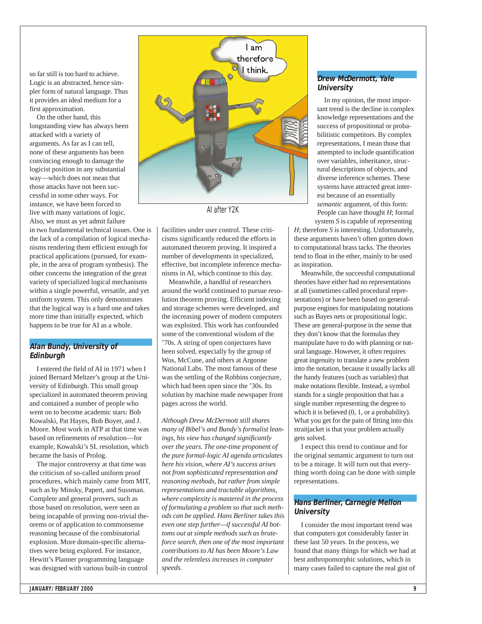so far still is too hard to achieve. Logic is an abstracted, hence simpler form of natural language. Thus it provides an ideal medium for a first approximation.

On the other hand, this longstanding view has always been attacked with a variety of arguments. As far as I can tell, none of these arguments has been convincing enough to damage the logicist position in any substantial way—which does not mean that those attacks have not been successful in some other ways. For instance, we have been forced to live with many variations of logic. Also, we must as yet admit failure

in two fundamental technical issues. One is the lack of a compilation of logical mechanisms rendering them efficient enough for practical applications (pursued, for example, in the area of program synthesis). The other concerns the integration of the great variety of specialized logical mechanisms within a single powerful, versatile, and yet uniform system. This only demonstrates that the logical way is a hard one and takes more time than initially expected, which happens to be true for AI as a whole.

#### **Alan Bundy, University of Edinburgh**

I entered the field of AI in 1971 when I joined Bernard Meltzer's group at the University of Edinburgh. This small group specialized in automated theorem proving and contained a number of people who went on to become academic stars: Bob Kowalski, Pat Hayes, Bob Boyer, and J. Moore. Most work in ATP at that time was based on refinements of resolution—for example, Kowalski's SL resolution, which became the basis of Prolog.

The major controversy at that time was the criticism of so-called uniform proof procedures, which mainly came from MIT, such as by Minsky, Papert, and Sussman. Complete and general provers, such as those based on resolution, were seen as being incapable of proving non-trivial theorems or of application to commonsense reasoning because of the combinatorial explosion. More domain-specific alternatives were being explored. For instance, Hewitt's Planner programming language was designed with various built-in control



AI after Y2K

facilities under user control. These criticisms significantly reduced the efforts in automated theorem proving. It inspired a number of developments in specialized, effective, but incomplete inference mechanisms in AI, which continue to this day.

Meanwhile, a handful of researchers around the world continued to pursue resolution theorem proving. Efficient indexing and storage schemes were developed, and the increasing power of modern computers was exploited. This work has confounded some of the conventional wisdom of the '70s. A string of open conjectures have been solved, especially by the group of Wos, McCune, and others at Argonne National Labs. The most famous of these was the settling of the Robbins conjecture, which had been open since the '30s. Its solution by machine made newspaper front pages across the world.

*Although Drew McDermott still shares many of Bibel's and Bundy's formalist leanings, his view has changed significantly over the years. The one-time proponent of the pure formal-logic AI agenda articulates here his vision, where AI's success arises not from sophisticated representation and reasoning methods, but rather from simple representations and tractable algorithms, where complexity is mastered in the process of formulating a problem so that such methods can be applied. Hans Berliner takes this even one step further—if successful AI bottoms out at simple methods such as bruteforce search, then one of the most important contributions to AI has been Moore's Law and the relentless increases in computer speeds.*

#### **Drew McDermott, Yale University**

In my opinion, the most important trend is the decline in complex knowledge representations and the success of propositional or probabilitistic competitors. By complex representations, I mean those that attempted to include quantification over variables, inheritance, structural descriptions of objects, and diverse inference schemes. These systems have attracted great interest because of an essentially *semantic* argument, of this form: People can have thought *H*; formal system *S* is capable of representing

*H*; therefore *S* is interesting. Unfortunately, these arguments haven't often gotten down to computational brass tacks. The theories tend to float in the ether, mainly to be used as inspiration.

Meanwhile, the successful computational theories have either had no representations at all (sometimes called procedural representations) or have been based on generalpurpose engines for manipulating notations such as Bayes nets or propositional logic. These are general-purpose in the sense that they don't know that the formulas they manipulate have to do with planning or natural language. However, it often requires great ingenuity to translate a new problem into the notation, because it usually lacks all the handy features (such as variables) that make notations flexible. Instead, a symbol stands for a single proposition that has a single number representing the degree to which it is believed (0, 1, or a probability). What you get for the pain of fitting into this straitjacket is that your problem actually gets solved.

I expect this trend to continue and for the original semantic argument to turn out to be a mirage. It will turn out that everything worth doing can be done with simple representations.

#### **Hans Berliner, Carnegie Mellon University**

I consider the most important trend was that computers got considerably faster in these last 50 years. In the process, we found that many things for which we had at best anthropomorphic solutions, which in many cases failed to capture the real gist of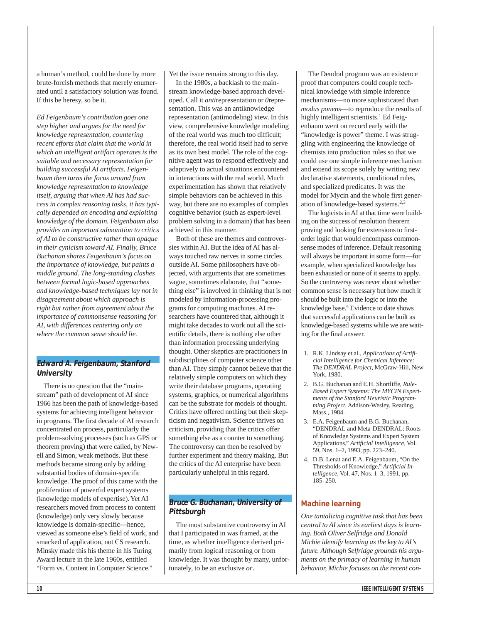a human's method, could be done by more brute-forcish methods that merely enumerated until a satisfactory solution was found. If this be heresy, so be it.

*Ed Feigenbaum's contribution goes one step higher and argues for the need for knowledge representation, countering recent efforts that claim that the world in which an intelligent artifact operates is the suitable and necessary representation for building successful AI artifacts. Feigenbaum then turns the focus around from knowledge representation to knowledge itself, arguing that when AI has had success in complex reasoning tasks, it has typically depended on encoding and exploiting knowledge of the domain. Feigenbaum also provides an important admonition to critics of AI to be constructive rather than opaque in their cynicism toward AI. Finally, Bruce Buchanan shares Feigenbaum's focus on the importance of knowledge, but paints a middle ground. The long-standing clashes between formal logic-based approaches and knowledge-based techniques lay not in disagreement about which approach is right but rather from agreement about the importance of commonsense reasoning for AI, with differences centering only on where the common sense should lie.*

#### **Edward A. Feigenbaum, Stanford University**

There is no question that the "mainstream" path of development of AI since 1966 has been the path of knowledge-based systems for achieving intelligent behavior in programs. The first decade of AI research concentrated on process, particularly the problem-solving processes (such as GPS or theorem proving) that were called, by Newell and Simon, weak methods. But these methods became strong only by adding substantial bodies of domain-specific knowledge. The proof of this came with the proliferation of powerful expert systems (knowledge models of expertise). Yet AI researchers moved from process to content (knowledge) only very slowly because knowledge is domain-specific—hence, viewed as someone else's field of work, and smacked of application, not CS research. Minsky made this his theme in his Turing Award lecture in the late 1960s, entitled "Form vs. Content in Computer Science."

Yet the issue remains strong to this day.

In the 1980s, a backlash to the mainstream knowledge-based approach developed. Call it *anti*representation or *0*representation. This was an antiknowledge representation (antimodeling) view. In this view, comprehensive knowledge modeling of the real world was much too difficult; therefore, the real world itself had to serve as its own best model. The role of the cognitive agent was to respond effectively and adaptively to actual situations encountered in interactions with the real world. Much experimentation has shown that relatively simple behaviors can be achieved in this way, but there are no examples of complex cognitive behavior (such as expert-level problem solving in a domain) that has been achieved in this manner.

Both of these are themes and controversies within AI. But the idea of AI has always touched raw nerves in some circles outside AI. Some philosophers have objected, with arguments that are sometimes vague, sometimes elaborate, that "something else" is involved in thinking that is not modeled by information-processing programs for computing machines. AI researchers have countered that, although it might take decades to work out all the scientific details, there is nothing else other than information processing underlying thought. Other skeptics are practitioners in subdisciplines of computer science other than AI. They simply cannot believe that the relatively simple computers on which they write their database programs, operating systems, graphics, or numerical algorithms can be the substrate for models of thought. Critics have offered nothing but their skepticism and negativism. Science thrives on criticism, providing that the critics offer something else as a counter to something. The controversy can then be resolved by further experiment and theory making. But the critics of the AI enterprise have been particularly unhelpful in this regard.

#### **Bruce G. Buchanan, University of Pittsburgh**

The most substantive controversy in AI that I participated in was framed, at the time, as whether intelligence derived primarily from logical reasoning or from knowledge. It was thought by many, unfortunately, to be an exclusive *or*.

The Dendral program was an existence proof that computers could couple technical knowledge with simple inference mechanisms—no more sophisticated than *modus ponens*—to reproduce the results of highly intelligent scientists.<sup>1</sup> Ed Feigenbaum went on record early with the "knowledge is power" theme. I was struggling with engineering the knowledge of chemists into production rules so that we could use one simple inference mechanism and extend its scope solely by writing new declarative statements, conditional rules, and specialized predicates. It was the model for Mycin and the whole first generation of knowledge-based systems.2,3

The logicists in AI at that time were building on the success of resolution theorem proving and looking for extensions to firstorder logic that would encompass commonsense modes of inference. Default reasoning will always be important in some form—for example, when specialized knowledge has been exhausted or none of it seems to apply. So the controversy was never about whether common sense is necessary but how much it should be built into the logic or into the knowledge base. <sup>4</sup> Evidence to date shows that successful applications can be built as knowledge-based systems while we are waiting for the final answer.

- 1. R.K. Lindsay et al., *Applications of Artificial Intelligence for Chemical Inference: The DENDRAL Project*, McGraw-Hill, New York, 1980.
- 2. B.G. Buchanan and E.H. Shortliffe, *Rule-Based Expert Systems: The MYCIN Experiments of the Stanford Heuristic Programming Project*, Addison-Wesley, Reading, Mass., 1984.
- 3. E.A. Feigenbaum and B.G. Buchanan, "DENDRAL and Meta-DENDRAL: Roots of Knowledge Systems and Expert System Applications," *Artificial Intelligence*, Vol. 59, Nos. 1–2, 1993, pp. 223–240.
- 4. D.B. Lenat and E.A. Feigenbaum, "On the Thresholds of Knowledge," *Artificial Intelligence,* Vol. 47, Nos. 1–3, 1991, pp. 185–250.

#### **Machine learning**

*One tantalizing cognitive task that has been central to AI since its earliest days is learning. Both Oliver Selfridge and Donald Michie identify learning as the key to AI's future. Although Selfridge grounds his arguments on the primacy of learning in human behavior, Michie focuses on the recent con-*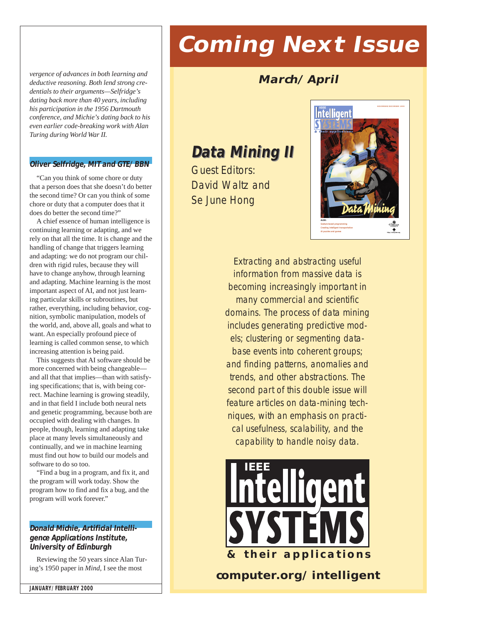# **Coming Next Issue**

**March/April**

*vergence of advances in both learning and deductive reasoning. Both lend strong credentials to their arguments—Selfridge's dating back more than 40 years, including his participation in the 1956 Dartmouth conference, and Michie's dating back to his even earlier code-breaking work with Alan Turing during World War II.*

#### **Oliver Selfridge, MIT and GTE/BBN**

"Can you think of some chore or duty that a person does that she doesn't do better the second time? Or can you think of some chore or duty that a computer does that it does do better the second time?"

A chief essence of human intelligence is continuing learning or adapting, and we rely on that all the time. It is change and the handling of change that triggers learning and adapting: we do not program our children with rigid rules, because they will have to change anyhow, through learning and adapting. Machine learning is the most important aspect of AI, and not just learning particular skills or subroutines, but rather, everything, including behavior, cognition, symbolic manipulation, models of the world, and, above all, goals and what to want. An especially profound piece of learning is called common sense, to which increasing attention is being paid.

This suggests that AI software should be more concerned with being changeable and all that that implies—than with satisfying specifications; that is, with being correct. Machine learning is growing steadily, and in that field I include both neural nets and genetic programming, because both are occupied with dealing with changes. In people, though, learning and adapting take place at many levels simultaneously and continually, and we in machine learning must find out how to build our models and software to do so too.

"Find a bug in a program, and fix it, and the program will work today. Show the program how to find and fix a bug, and the program will work forever."

#### **Donald Michie, Artificial Intelligence Applications Institute, University of Edinburgh**

Reviewing the 50 years since Alan Turing's 1950 paper in *Mind*, I see the most

### **Data Mining II Data Mining II**

Guest Editors: David Waltz and Se June Hong



Extracting and abstracting useful information from massive data is becoming increasingly important in many commercial and scientific domains. The process of data mining includes generating predictive models; clustering or segmenting database events into coherent groups; and finding patterns, anomalies and trends, and other abstractions. The second part of this double issue will feature articles on data-mining techniques, with an emphasis on practical usefulness, scalability, and the capability to handle noisy data.



**computer.org/intelligent**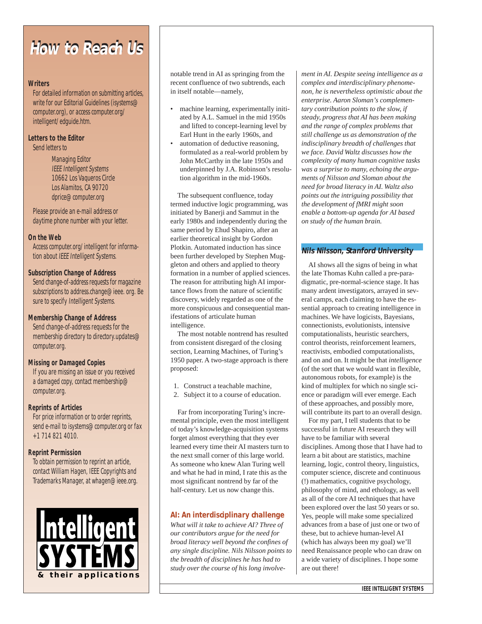## **How to Reach Us How to Reach Us**

#### **Writers**

For detailed information on submitting articles, write for our Editorial Guidelines (isystems@ computer.org), or access computer.org/ intelligent/edguide.htm.

#### **Letters to the Editor**

Send letters to

Managing Editor IEEE Intelligent Systems 10662 Los Vaqueros Circle Los Alamitos, CA 90720 dprice@computer.org

Please provide an e-mail address or daytime phone number with your letter.

#### **On the Web**

Access computer.org/intelligent for information about IEEE Intelligent Systems.

#### **Subscription Change of Address**

Send change-of-address requests for magazine subscriptions to address.change@ieee. org. Be sure to specify Intelligent Systems.

#### **Membership Change of Address**

Send change-of-address requests for the membership directory to directory.updates@ computer.org.

#### **Missing or Damaged Copies**

If you are missing an issue or you received a damaged copy, contact membership@ computer.org.

#### **Reprints of Articles**

For price information or to order reprints, send e-mail to isystems@computer.org or fax +1 714 821 4010.

#### **Reprint Permission**

To obtain permission to reprint an article, contact William Hagen, IEEE Copyrights and Trademarks Manager, at whagen@ieee.org.



notable trend in AI as springing from the recent confluence of two subtrends, each in itself notable—namely,

- machine learning, experimentally initiated by A.L. Samuel in the mid 1950s and lifted to concept-learning level by Earl Hunt in the early 1960s, and
- automation of deductive reasoning, formulated as a real-world problem by John McCarthy in the late 1950s and underpinned by J.A. Robinson's resolution algorithm in the mid-1960s.

The subsequent confluence, today termed inductive logic programming, was initiated by Banerji and Sammut in the early 1980s and independently during the same period by Ehud Shapiro, after an earlier theoretical insight by Gordon Plotkin. Automated induction has since been further developed by Stephen Muggleton and others and applied to theory formation in a number of applied sciences. The reason for attributing high AI importance flows from the nature of scientific discovery, widely regarded as one of the more conspicuous and consequential manifestations of articulate human intelligence.

The most notable nontrend has resulted from consistent disregard of the closing section, Learning Machines, of Turing's 1950 paper. A two-stage approach is there proposed:

- 1. Construct a teachable machine,
- 2. Subject it to a course of education.

Far from incorporating Turing's incremental principle, even the most intelligent of today's knowledge-acquisition systems forget almost everything that they ever learned every time their AI masters turn to the next small corner of this large world. As someone who knew Alan Turing well and what he had in mind, I rate this as the most significant nontrend by far of the half-century. Let us now change this.

#### **AI: An interdisciplinary challenge**

*What will it take to achieve AI? Three of our contributors argue for the need for broad literacy well beyond the confines of any single discipline. Nils Nilsson points to the breadth of disciplines he has had to study over the course of his long involve-*

*ment in AI. Despite seeing intelligence as a complex and interdisciplinary phenomenon, he is nevertheless optimistic about the enterprise. Aaron Sloman's complementary contribution points to the slow, if steady, progress that AI has been making and the range of complex problems that still challenge us as demonstration of the indisciplinary breadth of challenges that we face. David Waltz discusses how the complexity of many human cognitive tasks was a surprise to many, echoing the arguments of Nilsson and Sloman about the need for broad literacy in AI. Waltz also points out the intriguing possibility that the development of fMRI might soon enable a bottom-up agenda for AI based on study of the human brain.*

#### **Nils Nilsson, Stanford University**

AI shows all the signs of being in what the late Thomas Kuhn called a pre-paradigmatic, pre-normal-science stage. It has many ardent investigators, arrayed in several camps, each claiming to have the essential approach to creating intelligence in machines. We have logicists, Bayesians, connectionists, evolutionists, intensive computationalists, heuristic searchers, control theorists, reinforcement learners, reactivists, embodied computationalists, and on and on. It might be that *intelligence* (of the sort that we would want in flexible, autonomous robots, for example) is the kind of multiplex for which no single science or paradigm will ever emerge. Each of these approaches, and possibly more, will contribute its part to an overall design.

For my part, I tell students that to be successful in future AI research they will have to be familiar with several disciplines. Among those that I have had to learn a bit about are statistics, machine learning, logic, control theory, linguistics, computer science, discrete and continuous (!) mathematics, cognitive psychology, philosophy of mind, and ethology, as well as all of the core AI techniques that have been explored over the last 50 years or so. Yes, people will make some specialized advances from a base of just one or two of these, but to achieve human-level AI (which has always been my goal) we'll need Renaissance people who can draw on a wide variety of disciplines. I hope some are out there!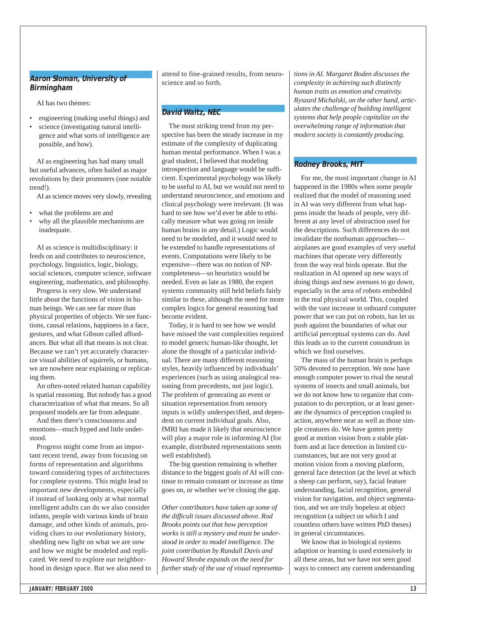#### **Aaron Sloman, University of Birmingham**

AI has two themes:

- engineering (making useful things) and
- science (investigating natural intelligence and what sorts of intelligence are possible, and how).

AI as engineering has had many small but useful advances, often hailed as major revolutions by their promoters (one notable trend!).

AI as science moves very slowly, revealing

- what the problems are and
- why all the plausible mechanisms are inadequate.

AI as science is multidisciplinary: it feeds on and contributes to neuroscience, psychology, linguistics, logic, biology, social sciences, computer science, software engineering, mathematics, and philosophy.

Progress is very slow. We understand little about the functions of vision in human beings. We can see far more than physical properties of objects. We see functions, causal relations, happiness in a face, gestures, and what Gibson called affordances. But what all that means is not clear. Because we can't yet accurately characterize visual abilities of squirrels, or humans, we are nowhere near explaining or replicating them.

An often-noted related human capability is spatial reasoning. But nobody has a good characterization of what that means. So all proposed models are far from adequate.

And then there's consciousness and emotions—much hyped and little understood.

Progress might come from an important recent trend, away from focusing on forms of representation and algorithms toward considering types of architectures for complete systems. This might lead to important new developments, especially if instead of looking only at what normal intelligent adults can do we also consider infants, people with various kinds of brain damage, and other kinds of animals, providing clues to our evolutionary history, shedding new light on what we are now and how we might be modeled and replicated. We need to explore our neighborhood in design space. But we also need to attend to fine-grained results, from neuroscience and so forth.

#### **David Waltz, NEC**

The most striking trend from my perspective has been the steady increase in my estimate of the complexity of duplicating human mental performance. When I was a grad student, I believed that modeling introspection and language would be sufficient. Experimental psychology was likely to be useful to AI, but we would not need to understand neuroscience, and emotions and clinical psychology were irrelevant. (It was hard to see how we'd ever be able to ethically measure what was going on inside human brains in any detail.) Logic would need to be modeled, and it would need to be extended to handle representations of events. Computations were likely to be expensive—there was no notion of NPcompleteness—so heuristics would be needed. Even as late as 1980, the expert systems community still held beliefs fairly similar to these, although the need for more complex logics for general reasoning had become evident.

Today, it is hard to see how we would have missed the vast complexities required to model generic human-like thought, let alone the thought of a particular individual. There are many different reasoning styles, heavily influenced by individuals' experiences (such as using analogical reasoning from precedents, not just logic). The problem of generating an event or situation representation from sensory inputs is wildly underspecified, and dependent on current individual goals. Also, fMRI has made it likely that neuroscience will play a major role in informing AI (for example, distributed representations seem well established).

The big question remaining is whether distance to the biggest goals of AI will continue to remain constant or increase as time goes on, or whether we're closing the gap.

*Other contributors have taken up some of the difficult issues discussed above. Rod Brooks points out that how perception works is still a mystery and must be understood in order to model intelligence. The joint contribution by Randall Davis and Howard Shrobe expands on the need for further study of the use of visual representa-* *tions in AI. Margaret Boden discusses the complexity in achieving such distinctly human traits as emotion and creativity. Ryszard Michalski, on the other hand, articulates the challenge of building intelligent systems that help people capitalize on the overwhelming range of information that modern society is constantly producing.*

#### **Rodney Brooks, MIT**

For me, the most important change in AI happened in the 1980s when some people realized that the model of reasoning used in AI was very different from what happens inside the heads of people, very different at any level of abstraction used for the descriptions. Such differences do not invalidate the nonhuman approaches airplanes are good examples of very useful machines that operate very differently from the way real birds operate. But the realization in AI opened up new ways of doing things and new avenues to go down, especially in the area of robots embedded in the real physical world. This, coupled with the vast increase in onboard computer power that we can put on robots, has let us push against the boundaries of what our artificial perceptual systems can do. And this leads us to the current conundrum in which we find ourselves.

The mass of the human brain is perhaps 50% devoted to perception. We now have enough computer power to rival the neural systems of insects and small animals, but we do not know how to organize that computation to do perception, or at least generate the dynamics of perception coupled to action, anywhere near as well as those simple creatures do. We have gotten pretty good at motion vision from a stable platform and at face detection in limited circumstances, but are not very good at motion vision from a moving platform, general face detection (at the level at which a sheep can perform, say), facial feature understanding, facial recognition, general vision for navigation, and object segmentation, and we are truly hopeless at object recognition (a subject on which I and countless others have written PhD theses) in general circumstances.

We know that in biological systems adaption or learning is used extensively in all these areas, but we have not seen good ways to connect any current understanding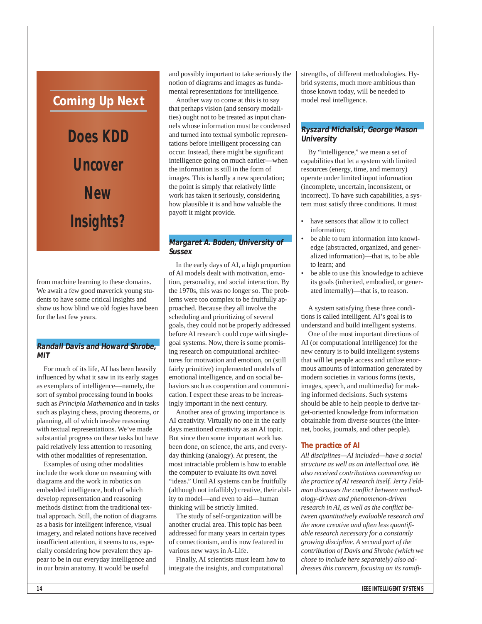### **Coming Up Next**

**Does KDD Uncover New Insights?**

from machine learning to these domains. We await a few good maverick young students to have some critical insights and show us how blind we old fogies have been for the last few years.

#### **Randall Davis and Howard Shrobe, MIT**

For much of its life, AI has been heavily influenced by what it saw in its early stages as exemplars of intelligence—namely, the sort of symbol processing found in books such as *Principia Mathematica* and in tasks such as playing chess, proving theorems, or planning, all of which involve reasoning with textual representations. We've made substantial progress on these tasks but have paid relatively less attention to reasoning with other modalities of representation.

Examples of using other modalities include the work done on reasoning with diagrams and the work in robotics on embedded intelligence, both of which develop representation and reasoning methods distinct from the traditional textual approach. Still, the notion of diagrams as a basis for intelligent inference, visual imagery, and related notions have received insufficient attention, it seems to us, especially considering how prevalent they appear to be in our everyday intelligence and in our brain anatomy. It would be useful

and possibly important to take seriously the notion of diagrams and images as fundamental representations for intelligence.

Another way to come at this is to say that perhaps vision (and sensory modalities) ought not to be treated as input channels whose information must be condensed and turned into textual symbolic representations before intelligent processing can occur. Instead, there might be significant intelligence going on much earlier—when the information is still in the form of images. This is hardly a new speculation; the point is simply that relatively little work has taken it seriously, considering how plausible it is and how valuable the payoff it might provide.

#### **Margaret A. Boden, University of Sussex**

In the early days of AI, a high proportion of AI models dealt with motivation, emotion, personality, and social interaction. By the 1970s, this was no longer so. The problems were too complex to be fruitfully approached. Because they all involve the scheduling and prioritizing of several goals, they could not be properly addressed before AI research could cope with singlegoal systems. Now, there is some promising research on computational architectures for motivation and emotion, on (still fairly primitive) implemented models of emotional intelligence, and on social behaviors such as cooperation and communication. I expect these areas to be increasingly important in the next century.

Another area of growing importance is AI creativity. Virtually no one in the early days mentioned creativity as an AI topic. But since then some important work has been done, on science, the arts, and everyday thinking (analogy). At present, the most intractable problem is how to enable the computer to evaluate its own novel "ideas." Until AI systems can be fruitfully (although not infallibly) creative, their ability to model—and even to aid—human thinking will be strictly limited.

The study of self-organization will be another crucial area. This topic has been addressed for many years in certain types of connectionism, and is now featured in various new ways in A-Life.

Finally, AI scientists must learn how to integrate the insights, and computational

strengths, of different methodologies. Hybrid systems, much more ambitious than those known today, will be needed to model real intelligence.

#### **Ryszard Michalski, George Mason University**

By "intelligence," we mean a set of capabilities that let a system with limited resources (energy, time, and memory) operate under limited input information (incomplete, uncertain, inconsistent, or incorrect). To have such capabilities, a system must satisfy three conditions. It must

- have sensors that allow it to collect information;
- be able to turn information into knowledge (abstracted, organized, and generalized information)—that is, to be able to learn; and
- be able to use this knowledge to achieve its goals (inherited, embodied, or generated internally)—that is, to reason.

A system satisfying these three conditions is called intelligent. AI's goal is to understand and build intelligent systems.

One of the most important directions of AI (or computational intelligence) for the new century is to build intelligent systems that will let people access and utilize enormous amounts of information generated by modern societies in various forms (texts, images, speech, and multimedia) for making informed decisions. Such systems should be able to help people to derive target-oriented knowledge from information obtainable from diverse sources (the Internet, books, journals, and other people).

#### **The practice of AI**

*All disciplines—AI included—have a social structure as well as an intellectual one. We also received contributions commenting on the practice of AI research itself. Jerry Feldman discusses the conflict between methodology-driven and phenomenon-driven research in AI, as well as the conflict between quantitatively evaluable research and the more creative and often less quantifiable research necessary for a constantly growing discipline. A second part of the contribution of Davis and Shrobe (which we chose to include here separately) also addresses this concern, focusing on its ramifi-*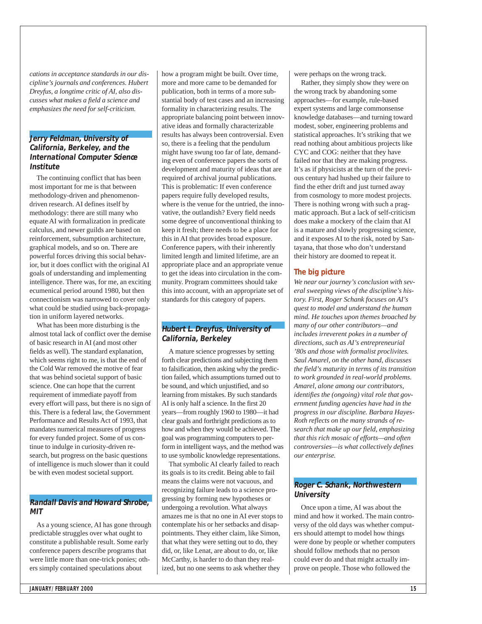*cations in acceptance standards in our discipline's journals and conferences. Hubert Dreyfus, a longtime critic of AI, also discusses what makes a field a science and emphasizes the need for self-criticism.*

#### **Jerry Feldman, University of California, Berkeley, and the International Computer Science Institute**

The continuing conflict that has been most important for me is that between methodology-driven and phenomenondriven research. AI defines itself by methodology: there are still many who equate AI with formalization in predicate calculus, and newer guilds are based on reinforcement, subsumption architecture, graphical models, and so on. There are powerful forces driving this social behavior, but it does conflict with the original AI goals of understanding and implementing intelligence. There was, for me, an exciting ecumenical period around 1980, but then connectionism was narrowed to cover only what could be studied using back-propagation in uniform layered networks.

What has been more disturbing is the almost total lack of conflict over the demise of basic research in AI (and most other fields as well). The standard explanation, which seems right to me, is that the end of the Cold War removed the motive of fear that was behind societal support of basic science. One can hope that the current requirement of immediate payoff from every effort will pass, but there is no sign of this. There is a federal law, the Government Performance and Results Act of 1993, that mandates numerical measures of progress for every funded project. Some of us continue to indulge in curiosity-driven research, but progress on the basic questions of intelligence is much slower than it could be with even modest societal support.

#### **Randall Davis and Howard Shrobe, MIT**

As a young science, AI has gone through predictable struggles over what ought to constitute a publishable result. Some early conference papers describe programs that were little more than one-trick ponies; others simply contained speculations about

how a program might be built. Over time, more and more came to be demanded for publication, both in terms of a more substantial body of test cases and an increasing formality in characterizing results. The appropriate balancing point between innovative ideas and formally characterizable results has always been controversial. Even so, there is a feeling that the pendulum might have swung too far of late, demanding even of conference papers the sorts of development and maturity of ideas that are required of archival journal publications. This is problematic: If even conference papers require fully developed results, where is the venue for the untried, the innovative, the outlandish? Every field needs some degree of unconventional thinking to keep it fresh; there needs to be a place for this in AI that provides broad exposure. Conference papers, with their inherently limited length and limited lifetime, are an appropriate place and an appropriate venue to get the ideas into circulation in the community. Program committees should take this into account, with an appropriate set of standards for this category of papers.

#### **Hubert L. Dreyfus, University of California, Berkeley**

A mature science progresses by setting forth clear predictions and subjecting them to falsification, then asking why the prediction failed, which assumptions turned out to be sound, and which unjustified, and so learning from mistakes. By such standards AI is only half a science. In the first 20 years—from roughly 1960 to 1980—it had clear goals and forthright predictions as to how and when they would be achieved. The goal was programming computers to perform in intelligent ways, and the method was to use symbolic knowledge representations.

That symbolic AI clearly failed to reach its goals is to its credit. Being able to fail means the claims were not vacuous, and recognizing failure leads to a science progressing by forming new hypotheses or undergoing a revolution. What always amazes me is that no one in AI ever stops to contemplate his or her setbacks and disappointments. They either claim, like Simon, that what they were setting out to do, they did, or, like Lenat, are about to do, or, like McCarthy, is harder to do than they realized, but no one seems to ask whether they

were perhaps on the wrong track.

Rather, they simply show they were on the wrong track by abandoning some approaches—for example, rule-based expert systems and large commonsense knowledge databases—and turning toward modest, sober, engineering problems and statistical approaches. It's striking that we read nothing about ambitious projects like CYC and COG: neither that they have failed nor that they are making progress. It's as if physicists at the turn of the previous century had hushed up their failure to find the ether drift and just turned away from cosmology to more modest projects. There is nothing wrong with such a pragmatic approach. But a lack of self-criticism does make a mockery of the claim that AI is a mature and slowly progressing science, and it exposes AI to the risk, noted by Santayana, that those who don't understand their history are doomed to repeat it.

#### **The big picture**

*We near our journey's conclusion with several sweeping views of the discipline's history. First, Roger Schank focuses on AI's quest to model and understand the human mind. He touches upon themes broached by many of our other contributors—and includes irreverent pokes in a number of directions, such as AI's entrepreneurial '80s and those with formalist proclivites. Saul Amarel, on the other hand, discusses the field's maturity in terms of its transition to work grounded in real-world problems. Amarel, alone among our contributors, identifies the (ongoing) vital role that government funding agencies have had in the progress in our discipline. Barbara Hayes-Roth reflects on the many strands of research that make up our field, emphasizing that this rich mosaic of efforts—and often controversies—is what collectively defines our enterprise.*

#### **Roger C. Schank, Northwestern University**

Once upon a time, AI was about the mind and how it worked. The main controversy of the old days was whether computers should attempt to model how things were done by people or whether computers should follow methods that no person could ever do and that might actually improve on people. Those who followed the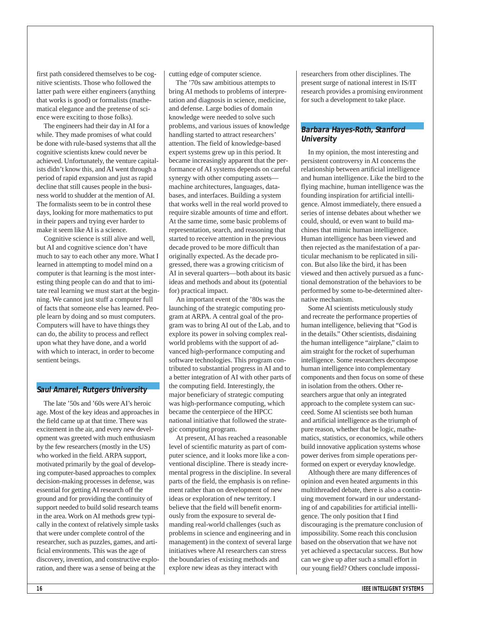first path considered themselves to be cognitive scientists. Those who followed the latter path were either engineers (anything that works is good) or formalists (mathematical elegance and the pretense of science were exciting to those folks).

The engineers had their day in AI for a while. They made promises of what could be done with rule-based systems that all the cognitive scientists knew could never be achieved. Unfortunately, the venture capitalists didn't know this, and AI went through a period of rapid expansion and just as rapid decline that still causes people in the business world to shudder at the mention of AI. The formalists seem to be in control these days, looking for more mathematics to put in their papers and trying ever harder to make it seem like AI is a science.

Cognitive science is still alive and well, but AI and cognitive science don't have much to say to each other any more. What I learned in attempting to model mind on a computer is that learning is the most interesting thing people can do and that to imitate real learning we must start at the beginning. We cannot just stuff a computer full of facts that someone else has learned. People learn by doing and so must computers. Computers will have to have things they can do, the ability to process and reflect upon what they have done, and a world with which to interact, in order to become sentient beings.

#### **Saul Amarel, Rutgers University**

The late '50s and '60s were AI's heroic age. Most of the key ideas and approaches in the field came up at that time. There was excitement in the air, and every new development was greeted with much enthusiasm by the few researchers (mostly in the US) who worked in the field. ARPA support, motivated primarily by the goal of developing computer-based approaches to complex decision-making processes in defense, was essential for getting AI research off the ground and for providing the continuity of support needed to build solid research teams in the area. Work on AI methods grew typically in the context of relatively simple tasks that were under complete control of the researcher, such as puzzles, games, and artificial environments. This was the age of discovery, invention, and constructive exploration, and there was a sense of being at the

cutting edge of computer science.

The '70s saw ambitious attempts to bring AI methods to problems of interpretation and diagnosis in science, medicine, and defense. Large bodies of domain knowledge were needed to solve such problems, and various issues of knowledge handling started to attract researchers' attention. The field of knowledge-based expert systems grew up in this period. It became increasingly apparent that the performance of AI systems depends on careful synergy with other computing assets machine architectures, languages, databases, and interfaces. Building a system that works well in the real world proved to require sizable amounts of time and effort. At the same time, some basic problems of representation, search, and reasoning that started to receive attention in the previous decade proved to be more difficult than originally expected. As the decade progressed, there was a growing criticism of AI in several quarters—both about its basic ideas and methods and about its (potential for) practical impact.

An important event of the '80s was the launching of the strategic computing program at ARPA. A central goal of the program was to bring AI out of the Lab, and to explore its power in solving complex realworld problems with the support of advanced high-performance computing and software technologies. This program contributed to substantial progress in AI and to a better integration of AI with other parts of the computing field. Interestingly, the major beneficiary of strategic computing was high-performance computing, which became the centerpiece of the HPCC national initiative that followed the strategic computing program.

At present, AI has reached a reasonable level of scientific maturity as part of computer science, and it looks more like a conventional discipline. There is steady incremental progress in the discipline. In several parts of the field, the emphasis is on refinement rather than on development of new ideas or exploration of new territory. I believe that the field will benefit enormously from the exposure to several demanding real-world challenges (such as problems in science and engineering and in management) in the context of several large initiatives where AI researchers can stress the boundaries of existing methods and explore new ideas as they interact with

researchers from other disciplines. The present surge of national interest in IS/IT research provides a promising environment for such a development to take place.

#### **Barbara Hayes-Roth, Stanford University**

In my opinion, the most interesting and persistent controversy in AI concerns the relationship between artificial intelligence and human intelligence. Like the bird to the flying machine, human intelligence was the founding inspiration for artificial intelligence. Almost immediately, there ensued a series of intense debates about whether we could, should, or even want to build machines that mimic human intelligence. Human intelligence has been viewed and then rejected as the manifestation of a particular mechanism to be replicated in silicon. But also like the bird, it has been viewed and then actively pursued as a functional demonstration of the behaviors to be performed by some to-be-determined alternative mechanism.

Some AI scientists meticulously study and recreate the performance properties of human intelligence, believing that "God is in the details." Other scientists, disdaining the human intelligence "airplane," claim to aim straight for the rocket of superhuman intelligence. Some researchers decompose human intelligence into complementary components and then focus on some of these in isolation from the others. Other researchers argue that only an integrated approach to the complete system can succeed. Some AI scientists see both human and artificial intelligence as the triumph of pure reason, whether that be logic, mathematics, statistics, or economics, while others build innovative application systems whose power derives from simple operations performed on expert or everyday knowledge.

Although there are many differences of opinion and even heated arguments in this multithreaded debate, there is also a continuing movement forward in our understanding of and capabilities for artificial intelligence. The only position that I find discouraging is the premature conclusion of impossibility. Some reach this conclusion based on the observation that we have not yet achieved a spectacular success. But how can we give up after such a small effort in our young field? Others conclude impossi-